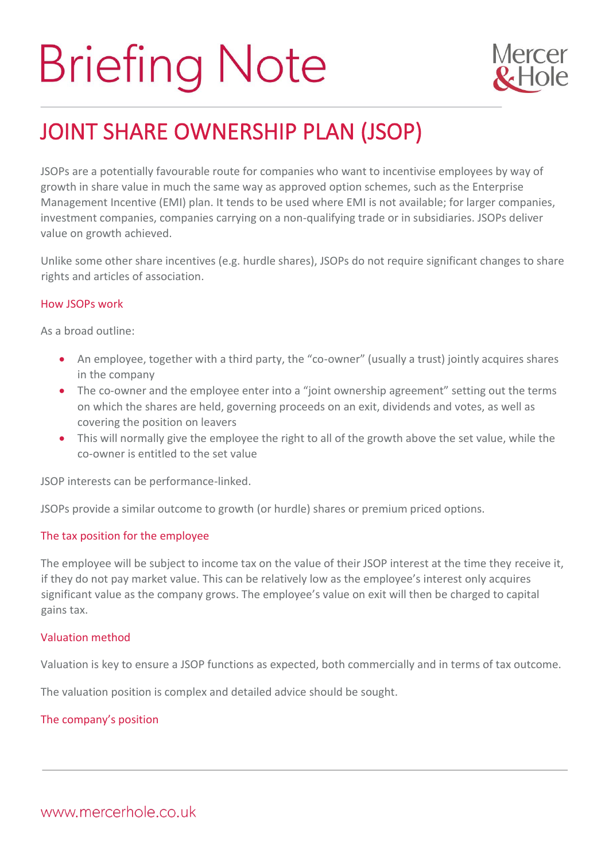# **Briefing Note**



# JOINT SHARE OWNERSHIP PLAN (JSOP)

JSOPs are a potentially favourable route for companies who want to incentivise employees by way of growth in share value in much the same way as approved option schemes, such as the Enterprise Management Incentive (EMI) plan. It tends to be used where EMI is not available; for larger companies, investment companies, companies carrying on a non-qualifying trade or in subsidiaries. JSOPs deliver value on growth achieved.

Unlike some other share incentives (e.g. hurdle shares), JSOPs do not require significant changes to share rights and articles of association.

### How JSOPs work

As a broad outline:

- An employee, together with a third party, the "co-owner" (usually a trust) jointly acquires shares in the company
- The co-owner and the employee enter into a "joint ownership agreement" setting out the terms on which the shares are held, governing proceeds on an exit, dividends and votes, as well as covering the position on leavers
- This will normally give the employee the right to all of the growth above the set value, while the co-owner is entitled to the set value

JSOP interests can be performance-linked.

JSOPs provide a similar outcome to growth (or hurdle) shares or premium priced options.

## The tax position for the employee

The employee will be subject to income tax on the value of their JSOP interest at the time they receive it, if they do not pay market value. This can be relatively low as the employee's interest only acquires significant value as the company grows. The employee's value on exit will then be charged to capital gains tax.

#### Valuation method

Valuation is key to ensure a JSOP functions as expected, both commercially and in terms of tax outcome.

The valuation position is complex and detailed advice should be sought.

#### The company's position